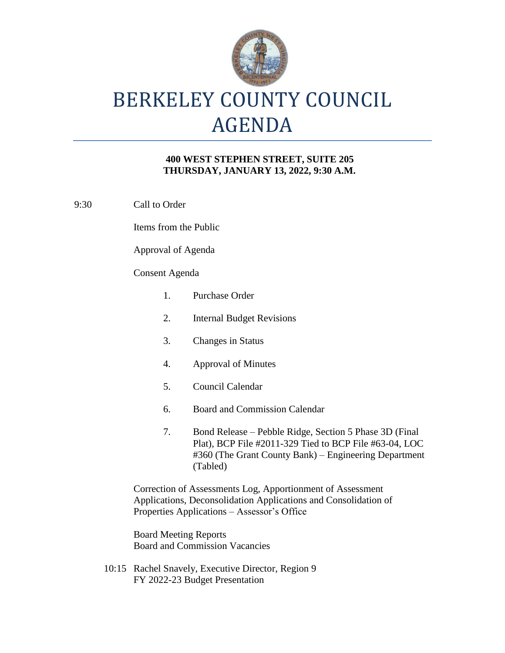

# BERKELEY COUNTY COUNCIL AGENDA

### **400 WEST STEPHEN STREET, SUITE 205 THURSDAY, JANUARY 13, 2022, 9:30 A.M.**

9:30 Call to Order

Items from the Public

Approval of Agenda

### Consent Agenda

| 1.                                                                                                                                                                           | <b>Purchase Order</b>                                                                                                                                                                 |
|------------------------------------------------------------------------------------------------------------------------------------------------------------------------------|---------------------------------------------------------------------------------------------------------------------------------------------------------------------------------------|
| 2.                                                                                                                                                                           | <b>Internal Budget Revisions</b>                                                                                                                                                      |
| 3.                                                                                                                                                                           | <b>Changes in Status</b>                                                                                                                                                              |
| 4.                                                                                                                                                                           | <b>Approval of Minutes</b>                                                                                                                                                            |
| 5.                                                                                                                                                                           | Council Calendar                                                                                                                                                                      |
| 6.                                                                                                                                                                           | <b>Board and Commission Calendar</b>                                                                                                                                                  |
| 7.                                                                                                                                                                           | Bond Release – Pebble Ridge, Section 5 Phase 3D (Final<br>Plat), BCP File #2011-329 Tied to BCP File #63-04, LOC<br>#360 (The Grant County Bank) – Engineering Department<br>(Tabled) |
| Correction of Assessments Log, Apportionment of Assessment<br>Applications, Deconsolidation Applications and Consolidation of<br>Properties Applications - Assessor's Office |                                                                                                                                                                                       |

Board Meeting Reports Board and Commission Vacancies

10:15 Rachel Snavely, Executive Director, Region 9 FY 2022-23 Budget Presentation